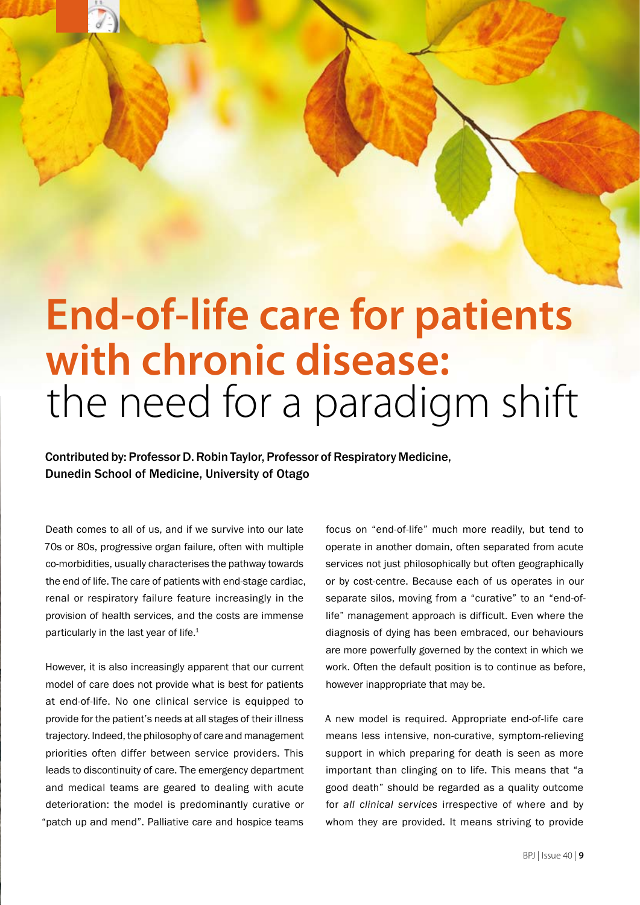# **End-of-life care for patients with chronic disease:**  the need for a paradigm shift

Contributed by: Professor D. Robin Taylor, Professor of Respiratory Medicine, Dunedin School of Medicine, University of Otago

Death comes to all of us, and if we survive into our late 70s or 80s, progressive organ failure, often with multiple co-morbidities, usually characterises the pathway towards the end of life. The care of patients with end-stage cardiac, renal or respiratory failure feature increasingly in the provision of health services, and the costs are immense particularly in the last year of life.<sup>1</sup>

However, it is also increasingly apparent that our current model of care does not provide what is best for patients at end-of-life. No one clinical service is equipped to provide for the patient's needs at all stages of their illness trajectory. Indeed, the philosophy of care and management priorities often differ between service providers. This leads to discontinuity of care. The emergency department and medical teams are geared to dealing with acute deterioration: the model is predominantly curative or "patch up and mend". Palliative care and hospice teams

focus on "end-of-life" much more readily, but tend to operate in another domain, often separated from acute services not just philosophically but often geographically or by cost-centre. Because each of us operates in our separate silos, moving from a "curative" to an "end-oflife" management approach is difficult. Even where the diagnosis of dying has been embraced, our behaviours are more powerfully governed by the context in which we work. Often the default position is to continue as before, however inappropriate that may be.

A new model is required. Appropriate end-of-life care means less intensive, non-curative, symptom-relieving support in which preparing for death is seen as more important than clinging on to life. This means that "a good death" should be regarded as a quality outcome for *all clinical services* irrespective of where and by whom they are provided. It means striving to provide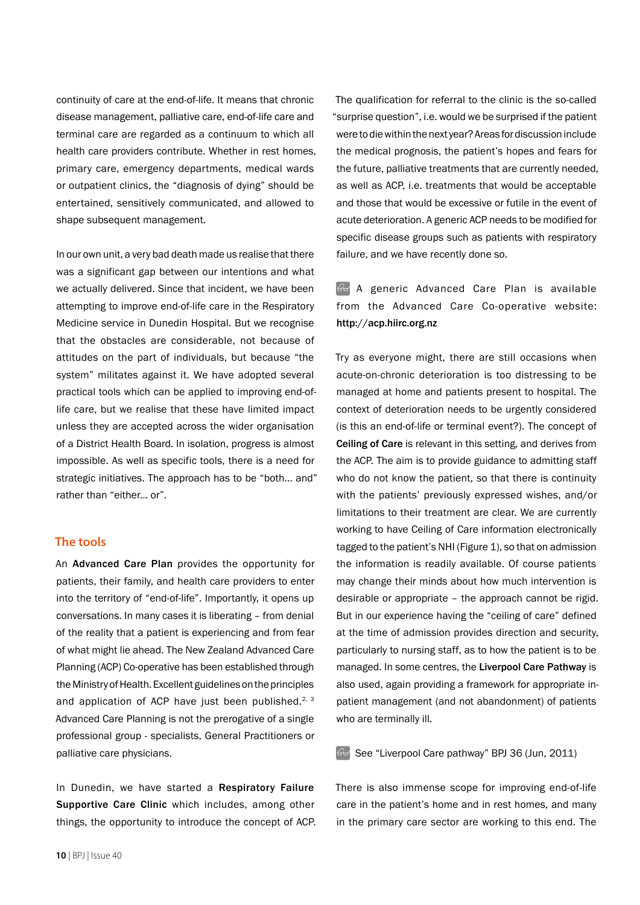continuity of care at the end-of-life. It means that chronic disease management, palliative care, end-of-life care and terminal care are regarded as a continuum to which all health care providers contribute. Whether in rest homes, primary care, emergency departments, medical wards or outpatient clinics, the "diagnosis of dying" should be entertained, sensitively communicated, and allowed to shape subsequent management.

In our own unit, a very bad death made us realise that there was a significant gap between our intentions and what we actually delivered. Since that incident, we have been attempting to improve end-of-life care in the Respiratory Medicine service in Dunedin Hospital. But we recognise that the obstacles are considerable, not because of attitudes on the part of individuals, but because "the system" militates against it. We have adopted several practical tools which can be applied to improving end-oflife care, but we realise that these have limited impact unless they are accepted across the wider organisation of a District Health Board. In isolation, progress is almost impossible. As well as specific tools, there is a need for strategic initiatives. The approach has to be "both... and" rather than "either... or".

#### **The tools**

An Advanced Care Plan provides the opportunity for patients, their family, and health care providers to enter into the territory of "end-of-life". Importantly, it opens up conversations. In many cases it is liberating – from denial of the reality that a patient is experiencing and from fear of what might lie ahead. The New Zealand Advanced Care Planning (ACP) Co-operative has been established through the Ministry of Health. Excellent guidelines on the principles and application of ACP have just been published.<sup>2, 3</sup> Advanced Care Planning is not the prerogative of a single professional group - specialists, General Practitioners or palliative care physicians.

In Dunedin, we have started a Respiratory Failure Supportive Care Clinic which includes, among other things, the opportunity to introduce the concept of ACP.

The qualification for referral to the clinic is the so-called "surprise question", i.e. would we be surprised if the patient were to die within the next year? Areas for discussion include the medical prognosis, the patient's hopes and fears for the future, palliative treatments that are currently needed, as well as ACP, i.e. treatments that would be acceptable and those that would be excessive or futile in the event of acute deterioration. A generic ACP needs to be modified for specific disease groups such as patients with respiratory failure, and we have recently done so.

# $\mathbb{G}$  A generic Advanced Care Plan is available from the Advanced Care Co-operative website: http://acp.hiirc.org.nz

Try as everyone might, there are still occasions when acute-on-chronic deterioration is too distressing to be managed at home and patients present to hospital. The context of deterioration needs to be urgently considered (is this an end-of-life or terminal event?). The concept of Ceiling of Care is relevant in this setting, and derives from the ACP. The aim is to provide guidance to admitting staff who do not know the patient, so that there is continuity with the patients' previously expressed wishes, and/or limitations to their treatment are clear. We are currently working to have Ceiling of Care information electronically tagged to the patient's NHI (Figure 1), so that on admission the information is readily available. Of course patients may change their minds about how much intervention is desirable or appropriate – the approach cannot be rigid. But in our experience having the "ceiling of care" defined at the time of admission provides direction and security, particularly to nursing staff, as to how the patient is to be managed. In some centres, the Liverpool Care Pathway is also used, again providing a framework for appropriate inpatient management (and not abandonment) of patients who are terminally ill.

 $\odot$  See "Liverpool Care pathway" BPJ 36 (Jun, 2011)

There is also immense scope for improving end-of-life care in the patient's home and in rest homes, and many in the primary care sector are working to this end. The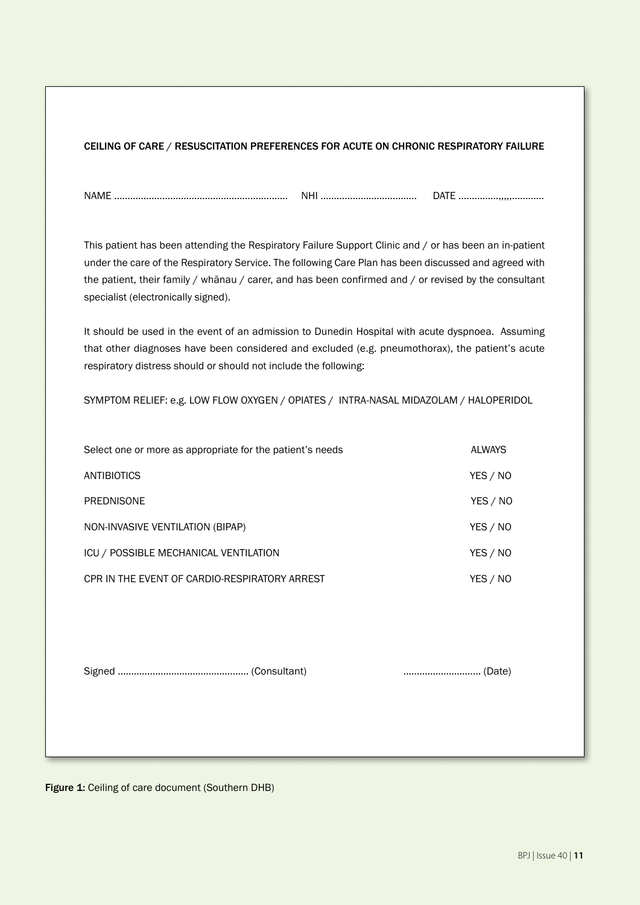|  |  | CEILING OF CARE / RESUSCITATION PREFERENCES FOR ACUTE ON CHRONIC RESPIRATORY FAILURE |
|--|--|--------------------------------------------------------------------------------------|
|  |  |                                                                                      |

NAME ……………………………………………….....…… NHI ………………………......... DATE ……………,,,,,…………

This patient has been attending the Respiratory Failure Support Clinic and / or has been an in-patient under the care of the Respiratory Service. The following Care Plan has been discussed and agreed with the patient, their family / whānau / carer, and has been confirmed and / or revised by the consultant specialist (electronically signed).

It should be used in the event of an admission to Dunedin Hospital with acute dyspnoea. Assuming that other diagnoses have been considered and excluded (e.g. pneumothorax), the patient's acute respiratory distress should or should not include the following:

SYMPTOM RELIEF: e.g. LOW FLOW OXYGEN / OPIATES / INTRA-NASAL MIDAZOLAM / HALOPERIDOL

| Select one or more as appropriate for the patient's needs |          |  |
|-----------------------------------------------------------|----------|--|
| ANTIBIOTICS                                               | YES / NO |  |
| <b>PREDNISONE</b>                                         | YES / NO |  |
| NON-INVASIVE VENTILATION (BIPAP)                          | YES / NO |  |
| ICU / POSSIBLE MECHANICAL VENTILATION                     | YES / NO |  |
| CPR IN THE EVENT OF CARDIO-RESPIRATORY ARREST             | YES / NO |  |
|                                                           |          |  |

Signed …………………………………………. (Consultant) .....…………………… (Date)

Figure 1: Ceiling of care document (Southern DHB)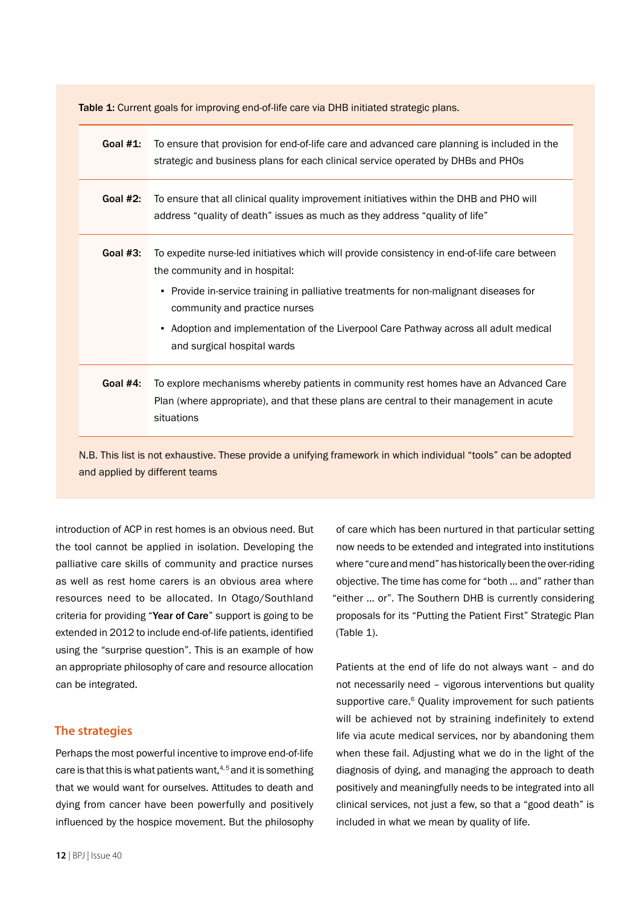Table 1: Current goals for improving end-of-life care via DHB initiated strategic plans.

| Goal $#1$ :                                                                                                     | To ensure that provision for end-of-life care and advanced care planning is included in the<br>strategic and business plans for each clinical service operated by DHBs and PHOs                                                                                                                                                                                                 |  |  |
|-----------------------------------------------------------------------------------------------------------------|---------------------------------------------------------------------------------------------------------------------------------------------------------------------------------------------------------------------------------------------------------------------------------------------------------------------------------------------------------------------------------|--|--|
| Goal $#2$ :                                                                                                     | To ensure that all clinical quality improvement initiatives within the DHB and PHO will<br>address "quality of death" issues as much as they address "quality of life"                                                                                                                                                                                                          |  |  |
| Goal $#3$ :                                                                                                     | To expedite nurse-led initiatives which will provide consistency in end-of-life care between<br>the community and in hospital:<br>• Provide in-service training in palliative treatments for non-malignant diseases for<br>community and practice nurses<br>- Adoption and implementation of the Liverpool Care Pathway across all adult medical<br>and surgical hospital wards |  |  |
| Goal #4:                                                                                                        | To explore mechanisms whereby patients in community rest homes have an Advanced Care<br>Plan (where appropriate), and that these plans are central to their management in acute<br>situations                                                                                                                                                                                   |  |  |
| N.B. This list is not exhaustive. These provide a unifying framework in which individual "tools" can be adopted |                                                                                                                                                                                                                                                                                                                                                                                 |  |  |

and applied by different teams

introduction of ACP in rest homes is an obvious need. But the tool cannot be applied in isolation. Developing the palliative care skills of community and practice nurses as well as rest home carers is an obvious area where resources need to be allocated. In Otago/Southland criteria for providing "Year of Care" support is going to be extended in 2012 to include end-of-life patients, identified using the "surprise question". This is an example of how an appropriate philosophy of care and resource allocation can be integrated.

### **The strategies**

Perhaps the most powerful incentive to improve end-of-life care is that this is what patients want, $4,5$  and it is something that we would want for ourselves. Attitudes to death and dying from cancer have been powerfully and positively influenced by the hospice movement. But the philosophy

of care which has been nurtured in that particular setting now needs to be extended and integrated into institutions where "cure and mend" has historically been the over-riding objective. The time has come for "both … and" rather than "either … or". The Southern DHB is currently considering proposals for its "Putting the Patient First" Strategic Plan (Table 1).

Patients at the end of life do not always want – and do not necessarily need – vigorous interventions but quality supportive care.<sup>6</sup> Quality improvement for such patients will be achieved not by straining indefinitely to extend life via acute medical services, nor by abandoning them when these fail. Adjusting what we do in the light of the diagnosis of dying, and managing the approach to death positively and meaningfully needs to be integrated into all clinical services, not just a few, so that a "good death" is included in what we mean by quality of life.